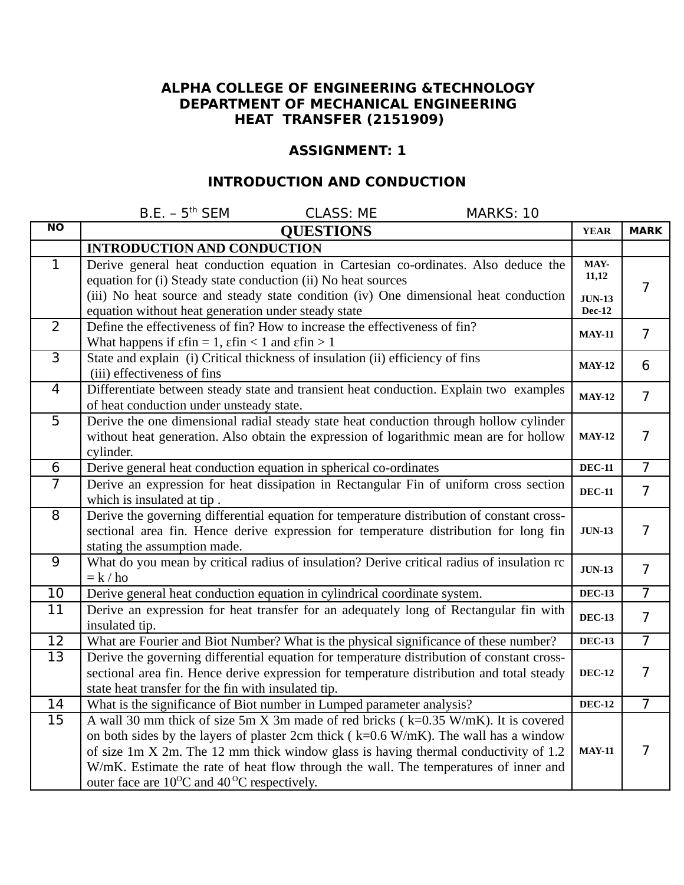### **ALPHA COLLEGE OF ENGINEERING &TECHNOLOGY DEPARTMENT OF MECHANICAL ENGINEERING HEAT TRANSFER (2151909)**

### **ASSIGNMENT: 1**

## **INTRODUCTION AND CONDUCTION**

|                | $B.E. - 5th SEM$<br><b>CLASS: ME</b><br>MARKS: 10                                                                                                                                                                                                                                                                                                                                                                              |                                |                |
|----------------|--------------------------------------------------------------------------------------------------------------------------------------------------------------------------------------------------------------------------------------------------------------------------------------------------------------------------------------------------------------------------------------------------------------------------------|--------------------------------|----------------|
| <b>NO</b>      | <b>QUESTIONS</b>                                                                                                                                                                                                                                                                                                                                                                                                               | <b>YEAR</b>                    | <b>MARK</b>    |
|                | <b>INTRODUCTION AND CONDUCTION</b>                                                                                                                                                                                                                                                                                                                                                                                             |                                |                |
| 1              | Derive general heat conduction equation in Cartesian co-ordinates. Also deduce the<br>equation for (i) Steady state conduction (ii) No heat sources<br>(iii) No heat source and steady state condition (iv) One dimensional heat conduction                                                                                                                                                                                    | MAY-<br>11,12<br><b>JUN-13</b> | 7              |
|                | equation without heat generation under steady state                                                                                                                                                                                                                                                                                                                                                                            | <b>Dec-12</b>                  |                |
| 2              | Define the effectiveness of fin? How to increase the effectiveness of fin?<br>What happens if $\epsilon$ fin = 1, $\epsilon$ fin < 1 and $\epsilon$ fin > 1                                                                                                                                                                                                                                                                    | <b>MAY-11</b>                  | $\overline{7}$ |
| $\overline{3}$ | State and explain (i) Critical thickness of insulation (ii) efficiency of fins<br>(iii) effectiveness of fins                                                                                                                                                                                                                                                                                                                  | <b>MAY-12</b>                  | 6              |
| $\overline{4}$ | Differentiate between steady state and transient heat conduction. Explain two examples<br>of heat conduction under unsteady state.                                                                                                                                                                                                                                                                                             | <b>MAY-12</b>                  | $\overline{7}$ |
| 5              | Derive the one dimensional radial steady state heat conduction through hollow cylinder<br>without heat generation. Also obtain the expression of logarithmic mean are for hollow<br>cylinder.                                                                                                                                                                                                                                  | <b>MAY-12</b>                  | $\overline{7}$ |
| 6              | Derive general heat conduction equation in spherical co-ordinates                                                                                                                                                                                                                                                                                                                                                              | <b>DEC-11</b>                  | $\overline{7}$ |
| $\overline{7}$ | Derive an expression for heat dissipation in Rectangular Fin of uniform cross section<br>which is insulated at tip.                                                                                                                                                                                                                                                                                                            | <b>DEC-11</b>                  | $\overline{7}$ |
| 8              | Derive the governing differential equation for temperature distribution of constant cross-<br>sectional area fin. Hence derive expression for temperature distribution for long fin<br>stating the assumption made.                                                                                                                                                                                                            | <b>JUN-13</b>                  | $\overline{7}$ |
| 9              | What do you mean by critical radius of insulation? Derive critical radius of insulation rc<br>$= k / ho$                                                                                                                                                                                                                                                                                                                       | <b>JUN-13</b>                  | $\overline{7}$ |
| 10             | Derive general heat conduction equation in cylindrical coordinate system.                                                                                                                                                                                                                                                                                                                                                      | <b>DEC-13</b>                  | $\overline{7}$ |
| 11             | Derive an expression for heat transfer for an adequately long of Rectangular fin with<br>insulated tip.                                                                                                                                                                                                                                                                                                                        | <b>DEC-13</b>                  | $\overline{7}$ |
| 12             | What are Fourier and Biot Number? What is the physical significance of these number?                                                                                                                                                                                                                                                                                                                                           | $DEC-13$                       | $\overline{7}$ |
| 13             | Derive the governing differential equation for temperature distribution of constant cross-<br>sectional area fin. Hence derive expression for temperature distribution and total steady<br>state heat transfer for the fin with insulated tip.                                                                                                                                                                                 | <b>DEC-12</b>                  | $\overline{7}$ |
| 14             | What is the significance of Biot number in Lumped parameter analysis?                                                                                                                                                                                                                                                                                                                                                          | <b>DEC-12</b>                  | $\overline{7}$ |
| 15             | A wall 30 mm thick of size 5m X 3m made of red bricks (k=0.35 W/mK). It is covered<br>on both sides by the layers of plaster 2cm thick ( $k=0.6$ W/mK). The wall has a window<br>of size 1m X 2m. The 12 mm thick window glass is having thermal conductivity of 1.2<br>W/mK. Estimate the rate of heat flow through the wall. The temperatures of inner and<br>outer face are $10^{\circ}$ C and $40^{\circ}$ C respectively. | <b>MAY-11</b>                  | 7              |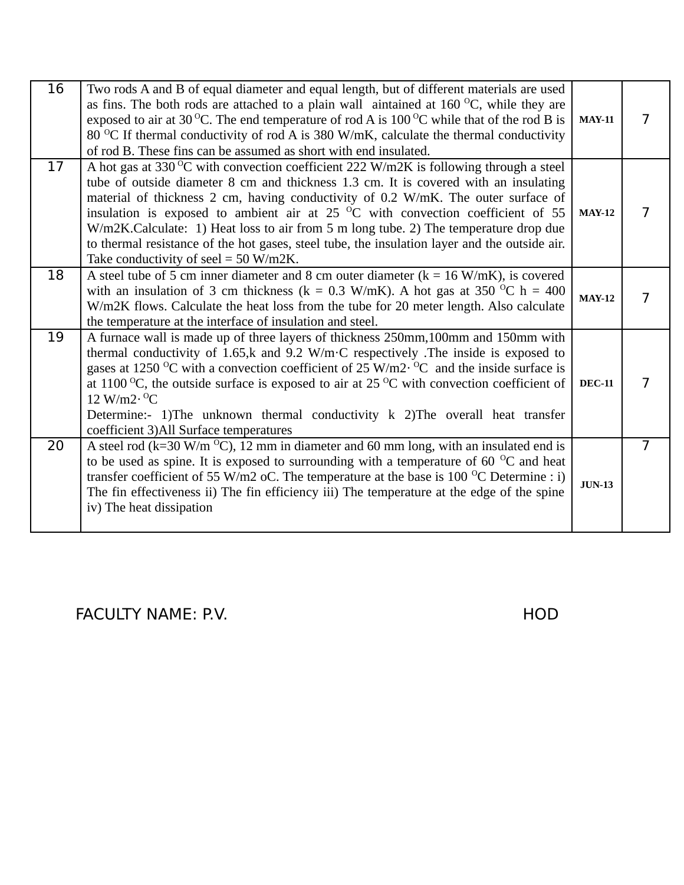| 16 | Two rods A and B of equal diameter and equal length, but of different materials are used<br>as fins. The both rods are attached to a plain wall aintained at $160\,^{\circ}\text{C}$ , while they are<br>exposed to air at 30 °C. The end temperature of rod A is 100 °C while that of the rod B is<br>80 °C If thermal conductivity of rod A is 380 W/mK, calculate the thermal conductivity<br>of rod B. These fins can be assumed as short with end insulated.                                                                                                                                    | <b>MAY-11</b> | $\overline{7}$ |
|----|------------------------------------------------------------------------------------------------------------------------------------------------------------------------------------------------------------------------------------------------------------------------------------------------------------------------------------------------------------------------------------------------------------------------------------------------------------------------------------------------------------------------------------------------------------------------------------------------------|---------------|----------------|
| 17 | A hot gas at 330 °C with convection coefficient 222 W/m2K is following through a steel<br>tube of outside diameter 8 cm and thickness 1.3 cm. It is covered with an insulating<br>material of thickness 2 cm, having conductivity of 0.2 W/mK. The outer surface of<br>insulation is exposed to ambient air at 25 $^{\circ}$ C with convection coefficient of 55<br>W/m2K.Calculate: 1) Heat loss to air from 5 m long tube. 2) The temperature drop due<br>to thermal resistance of the hot gases, steel tube, the insulation layer and the outside air.<br>Take conductivity of seel = $50$ W/m2K. | <b>MAY-12</b> | $\overline{7}$ |
| 18 | A steel tube of 5 cm inner diameter and 8 cm outer diameter ( $k = 16$ W/mK), is covered<br>with an insulation of 3 cm thickness ( $k = 0.3$ W/mK). A hot gas at 350 <sup>o</sup> C h = 400<br>W/m2K flows. Calculate the heat loss from the tube for 20 meter length. Also calculate<br>the temperature at the interface of insulation and steel.                                                                                                                                                                                                                                                   | <b>MAY-12</b> | $\overline{7}$ |
| 19 | A furnace wall is made up of three layers of thickness 250mm, 100mm and 150mm with<br>thermal conductivity of 1.65, $k$ and 9.2 W/m·C respectively. The inside is exposed to<br>gases at 1250 <sup>o</sup> C with a convection coefficient of 25 W/m2 $\cdot$ <sup>o</sup> C and the inside surface is<br>at 1100 $^{\circ}$ C, the outside surface is exposed to air at 25 $^{\circ}$ C with convection coefficient of<br>$12$ W/m $2 \cdot {}^{0}C$<br>Determine:- 1)The unknown thermal conductivity k 2)The overall heat transfer<br>coefficient 3) All Surface temperatures                     | <b>DEC-11</b> | $\overline{7}$ |
| 20 | A steel rod ( $k=30$ W/m $^{\circ}$ C), 12 mm in diameter and 60 mm long, with an insulated end is<br>to be used as spine. It is exposed to surrounding with a temperature of 60 $\,^{\circ}$ C and heat<br>transfer coefficient of 55 W/m2 oC. The temperature at the base is 100 $^{\circ}$ C Determine : i)<br>The fin effectiveness ii) The fin efficiency iii) The temperature at the edge of the spine<br>iv) The heat dissipation                                                                                                                                                             | <b>JUN-13</b> | $\overline{7}$ |

FACULTY NAME: P.V. The contract of the contract of the contract of the contract of the contract of the contract of the contract of the contract of the contract of the contract of the contract of the contract of the contrac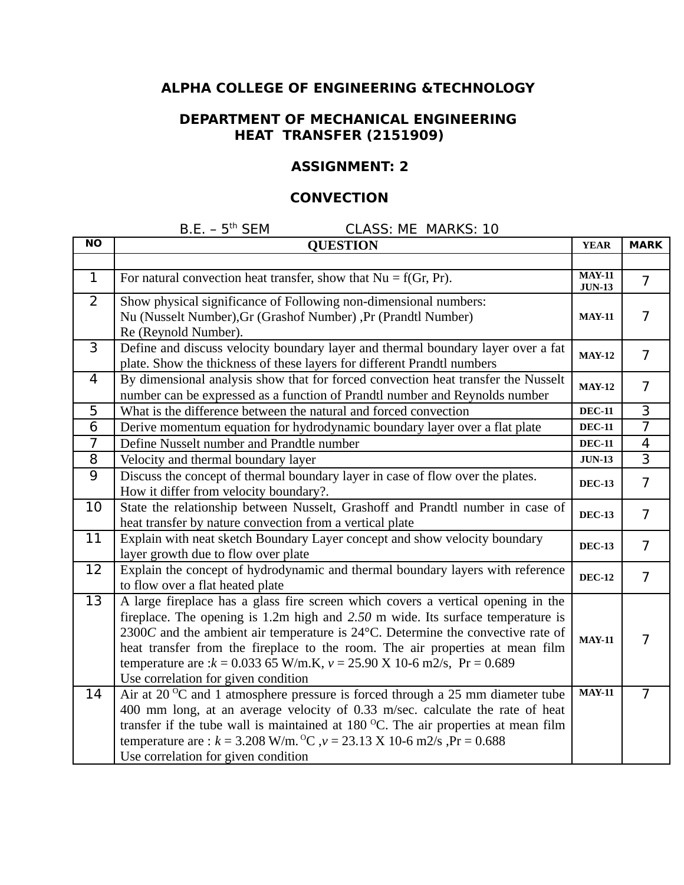## **DEPARTMENT OF MECHANICAL ENGINEERING HEAT TRANSFER (2151909)**

### **ASSIGNMENT: 2**

### **CONVECTION**

| <b>NO</b>      | <b>QUESTION</b>                                                                                                                                                                                                                                                                                                                                                                                                                                                  | <b>YEAR</b>               | <b>MARK</b>              |
|----------------|------------------------------------------------------------------------------------------------------------------------------------------------------------------------------------------------------------------------------------------------------------------------------------------------------------------------------------------------------------------------------------------------------------------------------------------------------------------|---------------------------|--------------------------|
|                |                                                                                                                                                                                                                                                                                                                                                                                                                                                                  |                           |                          |
| $\mathbf 1$    | For natural convection heat transfer, show that $Nu = f(Gr, Pr)$ .                                                                                                                                                                                                                                                                                                                                                                                               | <b>MAY-11</b><br>$JUN-13$ | $\overline{7}$           |
| $\overline{2}$ | Show physical significance of Following non-dimensional numbers:<br>Nu (Nusselt Number), Gr (Grashof Number), Pr (Prandtl Number)<br>Re (Reynold Number).                                                                                                                                                                                                                                                                                                        | <b>MAY-11</b>             | $\overline{7}$           |
| 3              | Define and discuss velocity boundary layer and thermal boundary layer over a fat<br>plate. Show the thickness of these layers for different Prandtl numbers                                                                                                                                                                                                                                                                                                      | <b>MAY-12</b>             | $\overline{7}$           |
| 4              | By dimensional analysis show that for forced convection heat transfer the Nusselt<br>number can be expressed as a function of Prandtl number and Reynolds number                                                                                                                                                                                                                                                                                                 | <b>MAY-12</b>             | $\overline{7}$           |
| 5              | What is the difference between the natural and forced convection                                                                                                                                                                                                                                                                                                                                                                                                 | $DEC-11$                  | 3                        |
| 6              | Derive momentum equation for hydrodynamic boundary layer over a flat plate                                                                                                                                                                                                                                                                                                                                                                                       | <b>DEC-11</b>             | $\overline{7}$           |
| $\overline{7}$ | Define Nusselt number and Prandtle number                                                                                                                                                                                                                                                                                                                                                                                                                        | <b>DEC-11</b>             | $\overline{\mathcal{L}}$ |
| 8              | Velocity and thermal boundary layer                                                                                                                                                                                                                                                                                                                                                                                                                              | <b>JUN-13</b>             | $\overline{3}$           |
| 9              | Discuss the concept of thermal boundary layer in case of flow over the plates.<br>How it differ from velocity boundary?.                                                                                                                                                                                                                                                                                                                                         | <b>DEC-13</b>             | $\overline{7}$           |
| 10             | State the relationship between Nusselt, Grashoff and Prandtl number in case of<br>heat transfer by nature convection from a vertical plate                                                                                                                                                                                                                                                                                                                       | <b>DEC-13</b>             | $\overline{7}$           |
| 11             | Explain with neat sketch Boundary Layer concept and show velocity boundary<br>layer growth due to flow over plate                                                                                                                                                                                                                                                                                                                                                | <b>DEC-13</b>             | $\overline{7}$           |
| 12             | Explain the concept of hydrodynamic and thermal boundary layers with reference<br>to flow over a flat heated plate                                                                                                                                                                                                                                                                                                                                               | <b>DEC-12</b>             | $\overline{7}$           |
| 13             | A large fireplace has a glass fire screen which covers a vertical opening in the<br>fireplace. The opening is $1.2m$ high and $2.50$ m wide. Its surface temperature is<br>2300C and the ambient air temperature is 24°C. Determine the convective rate of<br>heat transfer from the fireplace to the room. The air properties at mean film<br>temperature are : $k = 0.03365$ W/m.K, $v = 25.90$ X 10-6 m2/s, Pr = 0.689<br>Use correlation for given condition | <b>MAY-11</b>             | $\overline{7}$           |
| 14             | Air at 20 $\rm{^{\circ}C}$ and 1 atmosphere pressure is forced through a 25 mm diameter tube<br>400 mm long, at an average velocity of 0.33 m/sec. calculate the rate of heat<br>transfer if the tube wall is maintained at $180\,^{\circ}$ C. The air properties at mean film                                                                                                                                                                                   | <b>MAY-11</b>             | $\overline{7}$           |
|                | temperature are : $k = 3.208$ W/m. <sup>o</sup> C, $v = 23.13$ X 10-6 m2/s, $Pr = 0.688$<br>Use correlation for given condition                                                                                                                                                                                                                                                                                                                                  |                           |                          |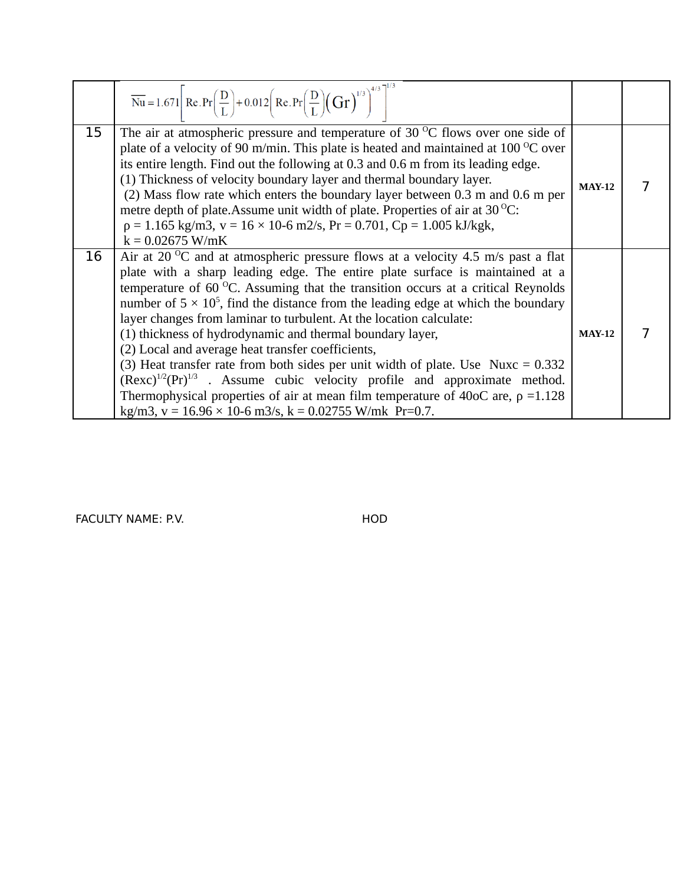|    | $\overline{\text{Nu}} = 1.671 \left[ \text{Re.Pr} \left( \frac{\text{D}}{\text{L}} \right) + 0.012 \left( \text{Re.Pr} \left( \frac{\text{D}}{\text{L}} \right) \left( \text{Gr} \right)^{1/3} \right)^{4/3} \right]^{1/2}$                                                                                                                                                                                                                                                                                                                                                                                                                                                                                                                                                                                                                                                                                          |               |  |
|----|----------------------------------------------------------------------------------------------------------------------------------------------------------------------------------------------------------------------------------------------------------------------------------------------------------------------------------------------------------------------------------------------------------------------------------------------------------------------------------------------------------------------------------------------------------------------------------------------------------------------------------------------------------------------------------------------------------------------------------------------------------------------------------------------------------------------------------------------------------------------------------------------------------------------|---------------|--|
| 15 | The air at atmospheric pressure and temperature of 30 $\mathrm{^{\circ}C}$ flows over one side of<br>plate of a velocity of 90 m/min. This plate is heated and maintained at $100^{\circ}$ C over<br>its entire length. Find out the following at 0.3 and 0.6 m from its leading edge.<br>(1) Thickness of velocity boundary layer and thermal boundary layer.<br>(2) Mass flow rate which enters the boundary layer between 0.3 m and 0.6 m per<br>metre depth of plate. Assume unit width of plate. Properties of air at $30^{\circ}$ C:<br>$p = 1.165$ kg/m3, $v = 16 \times 10-6$ m2/s, $Pr = 0.701$ , $Cp = 1.005$ kJ/kgk,<br>$k = 0.02675$ W/mK                                                                                                                                                                                                                                                                | <b>MAY-12</b> |  |
| 16 | Air at 20 $\rm{^{\circ}C}$ and at atmospheric pressure flows at a velocity 4.5 m/s past a flat<br>plate with a sharp leading edge. The entire plate surface is maintained at a<br>temperature of $60\,^{\circ}\text{C}$ . Assuming that the transition occurs at a critical Reynolds<br>number of $5 \times 10^5$ , find the distance from the leading edge at which the boundary<br>layer changes from laminar to turbulent. At the location calculate:<br>(1) thickness of hydrodynamic and thermal boundary layer,<br>(2) Local and average heat transfer coefficients,<br>(3) Heat transfer rate from both sides per unit width of plate. Use Nuxc = $0.332$<br>$($ Rexc $)^{1/2}$ (Pr $)^{1/3}$ . Assume cubic velocity profile and approximate method.<br>Thermophysical properties of air at mean film temperature of 40oC are, $p = 1.128$<br>kg/m3, v = $16.96 \times 10$ -6 m3/s, k = 0.02755 W/mk Pr=0.7. | <b>MAY-12</b> |  |

FACULTY NAME: P.V. THE SERIES OF THE RESERVE HOD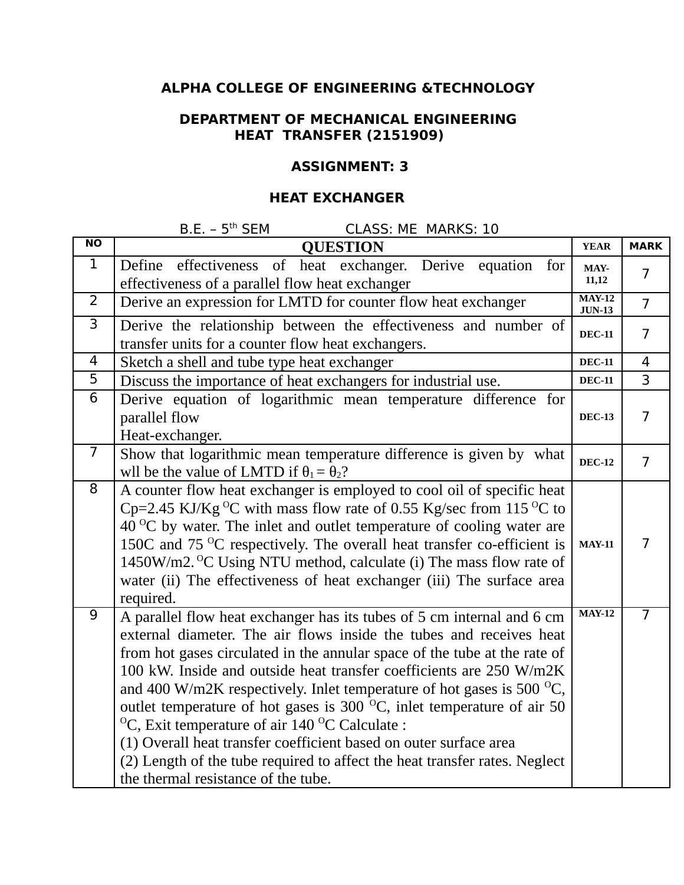## **DEPARTMENT OF MECHANICAL ENGINEERING HEAT TRANSFER (2151909)**

### **ASSIGNMENT: 3**

## **HEAT EXCHANGER**

| $\overline{NO}$ | <b>QUESTION</b>                                                                                                                                                                                                                                                                                                                                                                                                                                                                                                                                                                                                                                                                                                                              | <b>YEAR</b>                          | <b>MARK</b>    |
|-----------------|----------------------------------------------------------------------------------------------------------------------------------------------------------------------------------------------------------------------------------------------------------------------------------------------------------------------------------------------------------------------------------------------------------------------------------------------------------------------------------------------------------------------------------------------------------------------------------------------------------------------------------------------------------------------------------------------------------------------------------------------|--------------------------------------|----------------|
| $\mathbf{1}$    | Define effectiveness of heat exchanger. Derive equation<br>for<br>effectiveness of a parallel flow heat exchanger                                                                                                                                                                                                                                                                                                                                                                                                                                                                                                                                                                                                                            | MAY-<br>11,12                        | $\overline{7}$ |
| $\overline{2}$  | Derive an expression for LMTD for counter flow heat exchanger                                                                                                                                                                                                                                                                                                                                                                                                                                                                                                                                                                                                                                                                                | $\overline{MAY-12}$<br><b>JUN-13</b> | $\overline{7}$ |
| 3               | Derive the relationship between the effectiveness and number of<br>transfer units for a counter flow heat exchangers.                                                                                                                                                                                                                                                                                                                                                                                                                                                                                                                                                                                                                        | <b>DEC-11</b>                        | $\overline{7}$ |
| $\overline{4}$  | Sketch a shell and tube type heat exchanger                                                                                                                                                                                                                                                                                                                                                                                                                                                                                                                                                                                                                                                                                                  | <b>DEC-11</b>                        | $\overline{4}$ |
| 5               | Discuss the importance of heat exchangers for industrial use.                                                                                                                                                                                                                                                                                                                                                                                                                                                                                                                                                                                                                                                                                | <b>DEC-11</b>                        | 3              |
| $\overline{6}$  | Derive equation of logarithmic mean temperature difference for<br>parallel flow<br>Heat-exchanger.                                                                                                                                                                                                                                                                                                                                                                                                                                                                                                                                                                                                                                           | <b>DEC-13</b>                        | $\overline{7}$ |
| $\overline{7}$  | Show that logarithmic mean temperature difference is given by what<br>wll be the value of LMTD if $\theta_1 = \theta_2$ ?                                                                                                                                                                                                                                                                                                                                                                                                                                                                                                                                                                                                                    | <b>DEC-12</b>                        | $\overline{7}$ |
| 8               | A counter flow heat exchanger is employed to cool oil of specific heat<br>Cp=2.45 KJ/Kg <sup>o</sup> C with mass flow rate of 0.55 Kg/sec from 115 <sup>o</sup> C to<br>$40^{\circ}$ C by water. The inlet and outlet temperature of cooling water are<br>150C and 75 $\mathrm{^{\circ}C}$ respectively. The overall heat transfer co-efficient is<br>1450W/m2. <sup>o</sup> C Using NTU method, calculate (i) The mass flow rate of<br>water (ii) The effectiveness of heat exchanger (iii) The surface area<br>required.                                                                                                                                                                                                                   | <b>MAY-11</b>                        | $\overline{7}$ |
| 9               | A parallel flow heat exchanger has its tubes of 5 cm internal and 6 cm<br>external diameter. The air flows inside the tubes and receives heat<br>from hot gases circulated in the annular space of the tube at the rate of<br>100 kW. Inside and outside heat transfer coefficients are 250 W/m2K<br>and 400 W/m2K respectively. Inlet temperature of hot gases is 500 $^{\circ}$ C,<br>outlet temperature of hot gases is 300 $^{\circ}$ C, inlet temperature of air 50<br><sup>o</sup> C, Exit temperature of air 140 <sup>o</sup> C Calculate :<br>(1) Overall heat transfer coefficient based on outer surface area<br>(2) Length of the tube required to affect the heat transfer rates. Neglect<br>the thermal resistance of the tube. | <b>MAY-12</b>                        | $\overline{7}$ |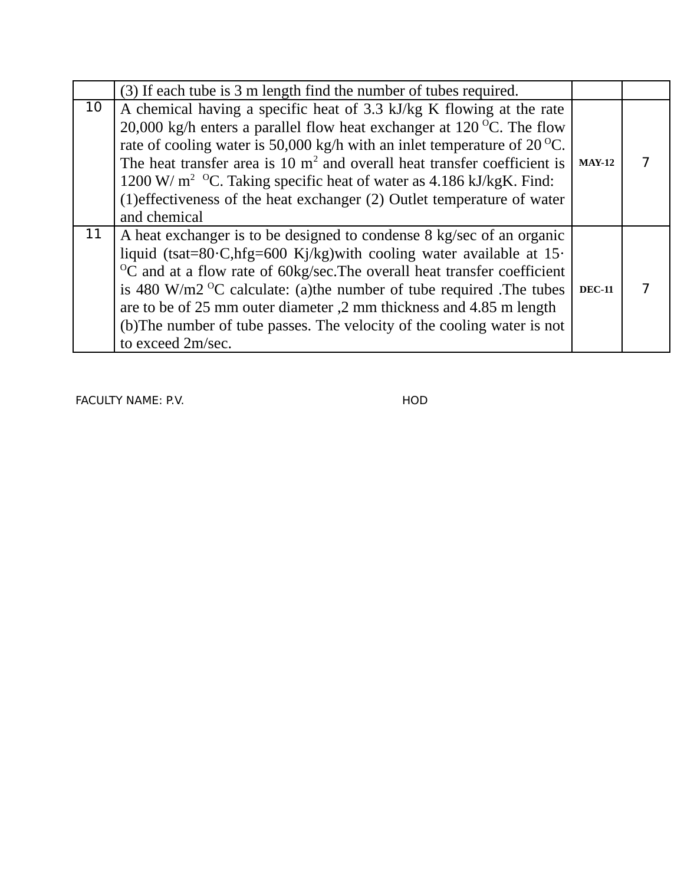|    | (3) If each tube is 3 m length find the number of tubes required.                                                                                                                                                                                                                                                                                                                                                                                                                                            |               |  |
|----|--------------------------------------------------------------------------------------------------------------------------------------------------------------------------------------------------------------------------------------------------------------------------------------------------------------------------------------------------------------------------------------------------------------------------------------------------------------------------------------------------------------|---------------|--|
| 10 | A chemical having a specific heat of 3.3 kJ/kg K flowing at the rate<br>20,000 kg/h enters a parallel flow heat exchanger at $120\,^{\circ}$ C. The flow<br>rate of cooling water is 50,000 kg/h with an inlet temperature of $20^{\circ}$ C.<br>The heat transfer area is 10 $m2$ and overall heat transfer coefficient is<br>1200 W/ $m^2$ <sup>o</sup> C. Taking specific heat of water as 4.186 kJ/kgK. Find:<br>(1) effectiveness of the heat exchanger (2) Outlet temperature of water<br>and chemical | $MAY-12$      |  |
| 11 | A heat exchanger is to be designed to condense 8 kg/sec of an organic<br>liquid (tsat=80·C,hfg=600 Kj/kg) with cooling water available at $15$ ·<br>$\rm ^{0}C$ and at a flow rate of 60kg/sec. The overall heat transfer coefficient<br>is 480 W/m2 $\mathrm{^{\circ}C}$ calculate: (a)the number of tube required . The tubes<br>are to be of 25 mm outer diameter, 2 mm thickness and 4.85 m length<br>(b) The number of tube passes. The velocity of the cooling water is not<br>to exceed 2m/sec.       | <b>DEC-11</b> |  |

FACULTY NAME: P.V. THE SERVE THAT THE RESERVE THAT HOD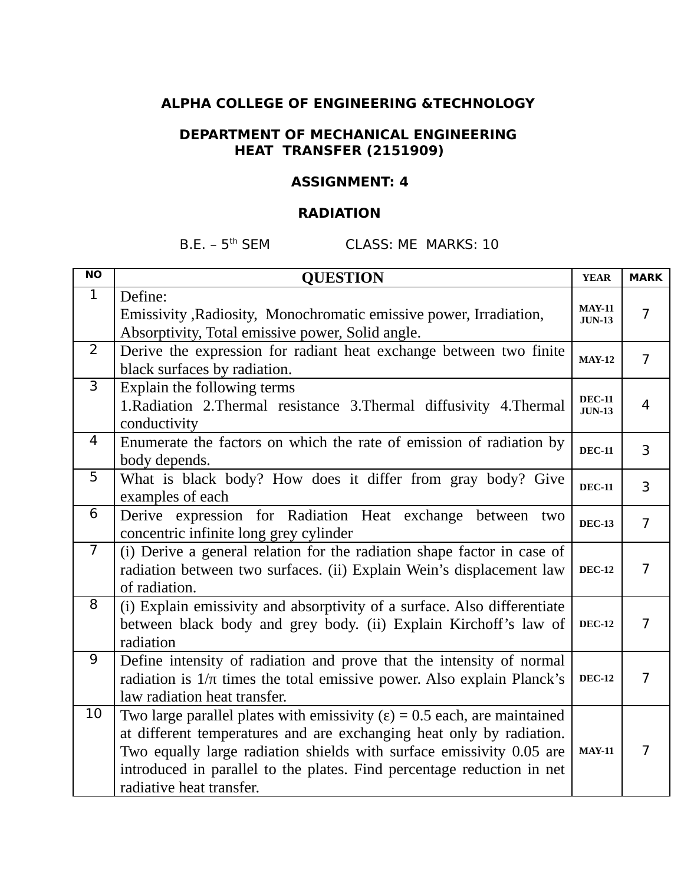### **DEPARTMENT OF MECHANICAL ENGINEERING HEAT TRANSFER (2151909)**

### **ASSIGNMENT: 4**

## **RADIATION**

| $\overline{NO}$ | <b>QUESTION</b>                                                                                                                                                                                                                                                                                                                         | <b>YEAR</b>                    | <b>MARK</b>    |
|-----------------|-----------------------------------------------------------------------------------------------------------------------------------------------------------------------------------------------------------------------------------------------------------------------------------------------------------------------------------------|--------------------------------|----------------|
| $\mathbf{1}$    | Define:<br>Emissivity , Radiosity, Monochromatic emissive power, Irradiation,<br>Absorptivity, Total emissive power, Solid angle.                                                                                                                                                                                                       | <b>MAY-11</b><br><b>JUN-13</b> | $\overline{7}$ |
| $\overline{2}$  | Derive the expression for radiant heat exchange between two finite<br>black surfaces by radiation.                                                                                                                                                                                                                                      | <b>MAY-12</b>                  | $\overline{7}$ |
| 3               | Explain the following terms<br>1. Radiation 2. Thermal resistance 3. Thermal diffusivity 4. Thermal<br>conductivity                                                                                                                                                                                                                     | <b>DEC-11</b><br>JUN-13        | 4              |
| 4               | Enumerate the factors on which the rate of emission of radiation by<br>body depends.                                                                                                                                                                                                                                                    | <b>DEC-11</b>                  | 3              |
| 5               | What is black body? How does it differ from gray body? Give<br>examples of each                                                                                                                                                                                                                                                         | <b>DEC-11</b>                  | 3              |
| 6               | Derive expression for Radiation Heat exchange between<br>two<br>concentric infinite long grey cylinder                                                                                                                                                                                                                                  | <b>DEC-13</b>                  | $\overline{7}$ |
| $\overline{7}$  | (i) Derive a general relation for the radiation shape factor in case of<br>radiation between two surfaces. (ii) Explain Wein's displacement law<br>of radiation.                                                                                                                                                                        | <b>DEC-12</b>                  | $\overline{7}$ |
| 8               | (i) Explain emissivity and absorptivity of a surface. Also differentiate<br>between black body and grey body. (ii) Explain Kirchoff's law of<br>radiation                                                                                                                                                                               | <b>DEC-12</b>                  | $\overline{7}$ |
| 9               | Define intensity of radiation and prove that the intensity of normal<br>radiation is $1/\pi$ times the total emissive power. Also explain Planck's<br>law radiation heat transfer.                                                                                                                                                      | <b>DEC-12</b>                  | $\overline{7}$ |
| 10              | Two large parallel plates with emissivity $(\epsilon)$ = 0.5 each, are maintained<br>at different temperatures and are exchanging heat only by radiation.<br>Two equally large radiation shields with surface emissivity 0.05 are<br>introduced in parallel to the plates. Find percentage reduction in net<br>radiative heat transfer. | <b>MAY-11</b>                  | $\overline{7}$ |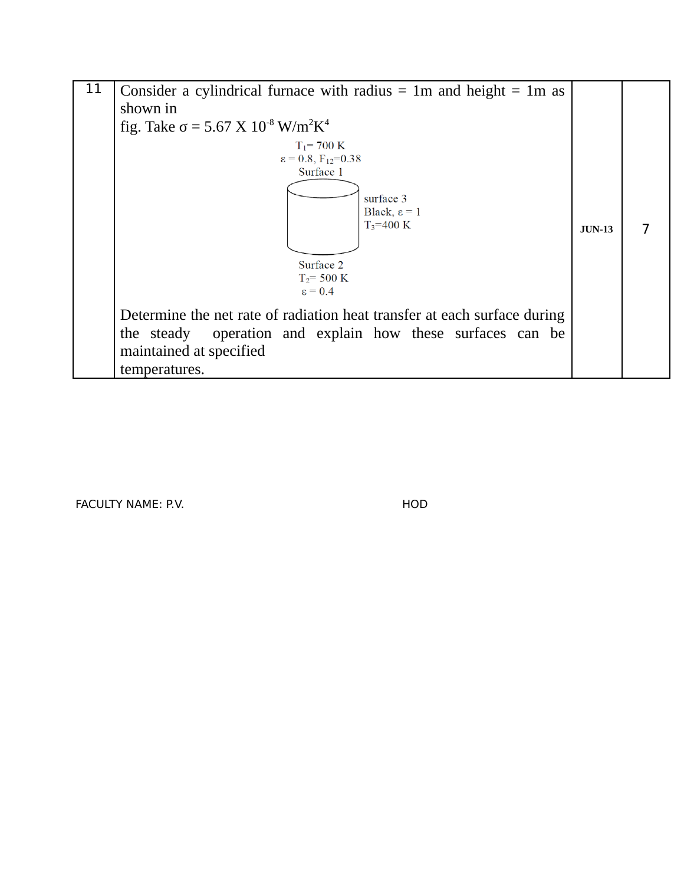

FACULTY NAME: P.V. THE SERIES OF THE SERIES OF THE HOD